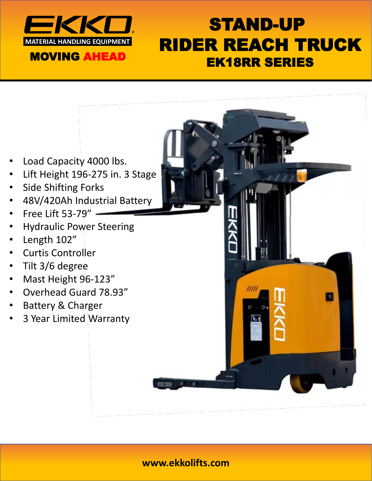

## STAND-UP RIDER REACH TRUCK EK18RR SERIES

- Load Capacity 4000 lbs.
- Lift Height 196-275 in. 3 Stage
- Side Shifting Forks
- 48V/420Ah Industrial Battery
- Free Lift 53-79"
- Hydraulic Power Steering
- Length 102"
- Curtis Controller
- Tilt 3/6 degree
- Mast Height 96-123"
- Overhead Guard 78.93"
- Battery & Charger
- 3 Year Limited Warranty

### **www.ekkolifts.com**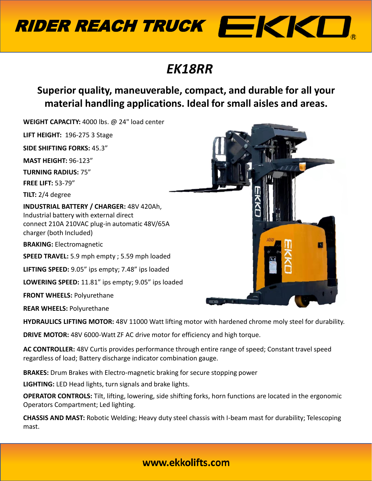

## *EK18RR*

**Superior quality, maneuverable, compact, and durable for all your material handling applications. Ideal for small aisles and areas.** 

**WEIGHT CAPACITY:** 4000 lbs. @ 24" load center **LIFT HEIGHT:** 196-275 3 Stage **SIDE SHIFTING FORKS:** 45.3" **MAST HEIGHT:** 96-123" **TURNING RADIUS:** 75" **FREE LIFT:** 53-79" **TILT:** 2/4 degree **INDUSTRIAL BATTERY / CHARGER:** 48V 420Ah, Industrial battery with external direct connect 210A 210VAC plug-in automatic 48V/65A charger (both Included) **BRAKING:** Electromagnetic **SPEED TRAVEL:** 5.9 mph empty ; 5.59 mph loaded **LIFTING SPEED:** 9.05" ips empty; 7.48" ips loaded **LOWERING SPEED:** 11.81" ips empty; 9.05" ips loaded **FRONT WHEELS:** Polyurethane **REAR WHEELS:** Polyurethane

**HYDRAULICS LIFTING MOTOR:** 48V 11000 Watt lifting motor with hardened chrome moly steel for durability.

**DRIVE MOTOR:** 48V 6000-Watt ZF AC drive motor for efficiency and high torque.

**AC CONTROLLER:** 48V Curtis provides performance through entire range of speed; Constant travel speed regardless of load; Battery discharge indicator combination gauge.

**BRAKES:** Drum Brakes with Electro-magnetic braking for secure stopping power

**LIGHTING:** LED Head lights, turn signals and brake lights.

**OPERATOR CONTROLS:** Tilt, lifting, lowering, side shifting forks, horn functions are located in the ergonomic Operators Compartment; Led lighting.

**CHASSIS AND MAST:** Robotic Welding; Heavy duty steel chassis with I-beam mast for durability; Telescoping mast.



### www.ekkolifts.com